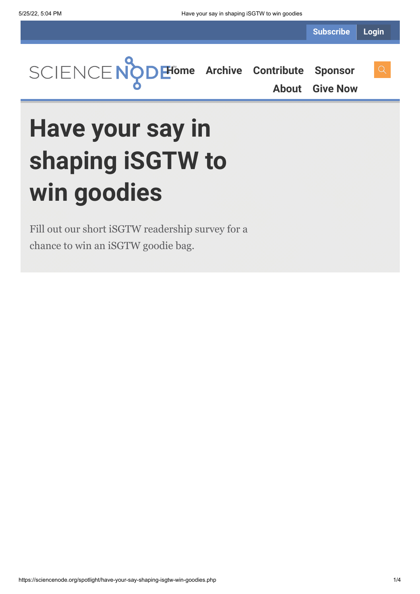**[Home](https://sciencenode.org/) [Archive](https://sciencenode.org/archive/index.php) [Contribute](https://sciencenode.org/contribute/index.php) [Sponsor](https://sciencenode.org/sponsor/index.php) [About](https://sciencenode.org/about/index.php) [Give Now](https://sciencenode.org/donate/index.php)**

**Have your say in shaping iSGTW to win goodies**

Fill out our short iSGTW readership survey for a chance to win an iSGTW goodie bag.

https://sciencenode.org/spotlight/have-your-say-shaping-isgtw-win-goodies.php 1/4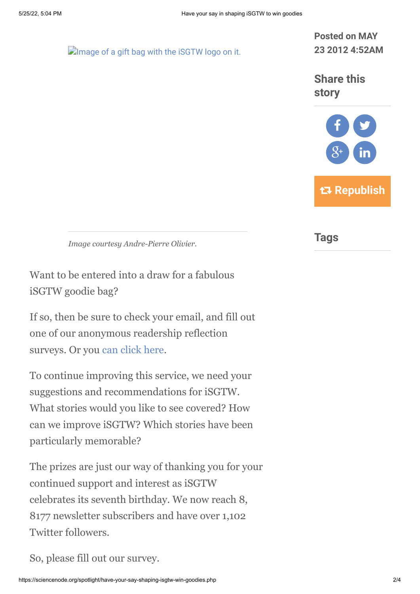**D**[Image of a gift bag with the iSGTW logo on it.](https://sciencenode.org/img/img_2012/iSGTW-bag.jpg)

**Posted on MAY 23 2012 4:52AM**

**Share this story**



*Image courtesy Andre-Pierre Olivier.*

Want to be entered into a draw for a fabulous iSGTW goodie bag?

If so, then be sure to check your email, and fill out one of our anonymous readership reflection surveys. Or you [can click here.](http://www.zoomerang.com/Survey/WEB22FLZ4UBD3G)

To continue improving this service, we need your suggestions and recommendations for iSGTW. What stories would you like to see covered? How can we improve iSGTW? Which stories have been particularly memorable?

The prizes are just our way of thanking you for your continued support and interest as iSGTW celebrates its seventh birthday. We now reach 8, 8177 newsletter subscribers and have over 1,102 Twitter followers.

So, please fill out our survey.

**Tags**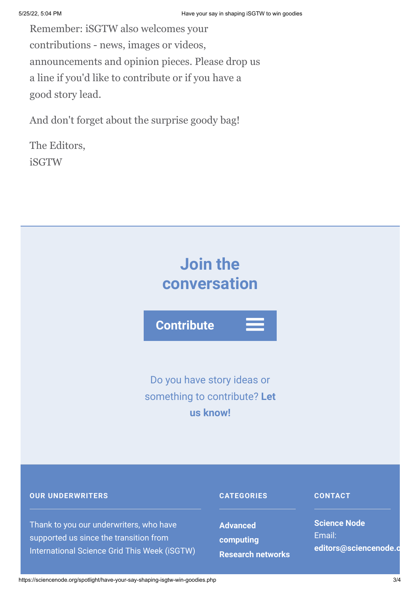Remember: iSGTW also welcomes your contributions - news, images or videos, announcements and opinion pieces. Please drop us a line if you'd like to contribute or if you have a good story lead.

And don't forget about the surprise goody bag!

The Editors, iSGTW